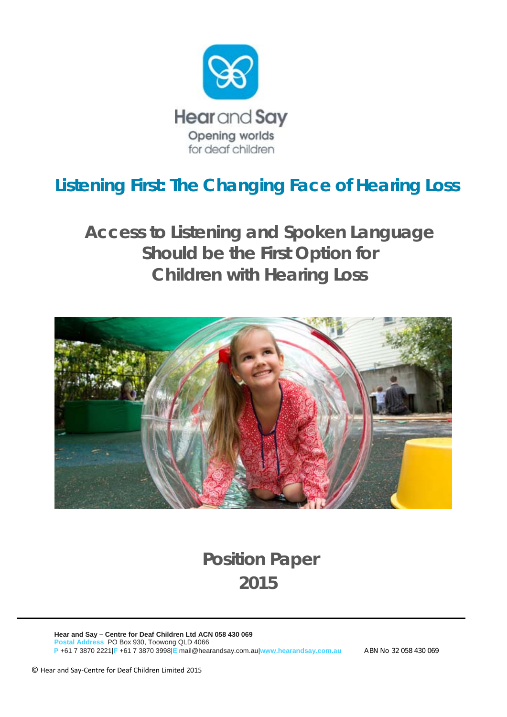

# *Listening First: The Changing Face of Hearing Loss*

*Access to Listening and Spoken Language Should be the First Option for Children with Hearing Loss* 



# **Position Paper 2015**

**Hear and Say – Centre for Deaf Children Ltd ACN 058 430 069 Postal Address** PO Box 930, Toowong QLD 4066  **P** +61 7 3870 2221|**F** +61 7 3870 3998|**E** mail@hearandsay.com.au|**www.hearandsay.com.au** ABN No 32 058 430 069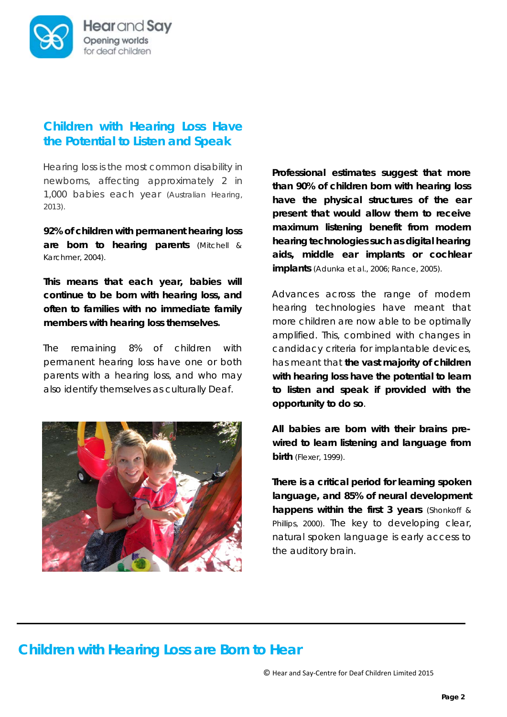

#### *Children with Hearing Loss Have the Potential to Listen and Speak*

Hearing loss is the most common disability in newborns, affecting approximately 2 in 1,000 babies each year (Australian Hearing, 2013).

**92% of children with permanent hearing loss are born to hearing parents** (Mitchell & Karchmer, 2004).

**This means that each year, babies will continue to be born with hearing loss, and often to families with no immediate family members with hearing loss themselves.** 

The remaining 8% of children with permanent hearing loss have one or both parents with a hearing loss, and who may also identify themselves as culturally Deaf.



**Professional estimates suggest that more than 90% of children born with hearing loss have the physical structures of the ear present that would allow them to receive maximum listening benefit from modern hearing technologies such as digital hearing aids, middle ear implants or cochlear implants** (Adunka et al., 2006; Rance, 2005).

Advances across the range of modern hearing technologies have meant that more children are now able to be optimally amplified. This, combined with changes in candidacy criteria for implantable devices, has meant that **the vast majority of children with hearing loss have the potential to learn to listen and speak if provided with the opportunity to do so**.

**All babies are born with their brains prewired to learn listening and language from birth** (Flexer, 1999).

**There is a critical period for learning spoken language, and 85% of neural development happens within the first 3 years** (Shonkoff & Phillips, 2000). The key to developing clear, natural spoken language is early access to the auditory brain.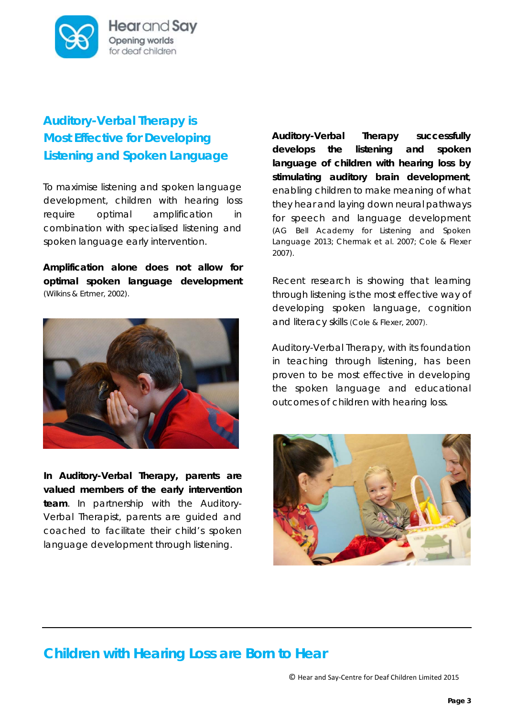

Hear and Say Opening worlds for deaf children

## *Auditory-Verbal Therapy is Most Effective for Developing Listening and Spoken Language*

To maximise listening and spoken language development, children with hearing loss require optimal amplification in combination with specialised listening and spoken language early intervention.

**Amplification alone does not allow for optimal spoken language development** (Wilkins & Ertmer, 2002).



**In Auditory-Verbal Therapy, parents are valued members of the early intervention team**. In partnership with the Auditory-Verbal Therapist, parents are guided and coached to facilitate their child's spoken language development through listening.

**Auditory-Verbal Therapy successfully develops the listening and spoken language of children with hearing loss by stimulating auditory brain development**, enabling children to make meaning of what they hear and laying down neural pathways for speech and language development (AG Bell Academy for Listening and Spoken Language 2013; Chermak et al. 2007; Cole & Flexer 2007).

Recent research is showing that learning through listening is the most effective way of developing spoken language, cognition and literacy skills (Cole & Flexer, 2007).

Auditory-Verbal Therapy, with its foundation in teaching through listening, has been proven to be most effective in developing the spoken language and educational outcomes of children with hearing loss.

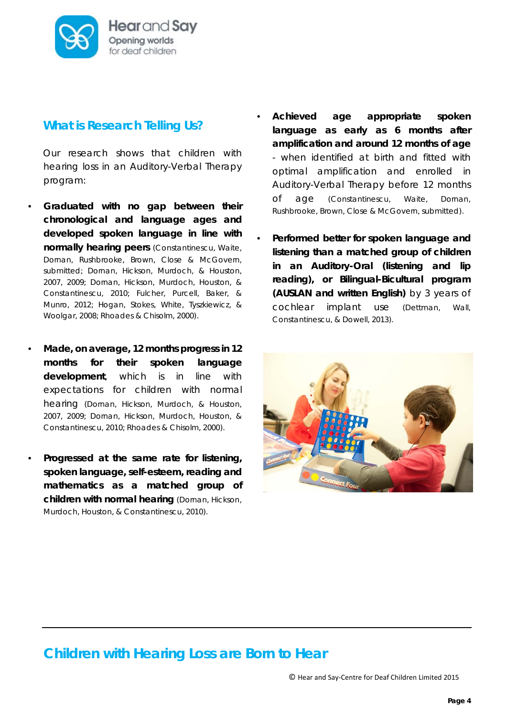

#### *What is Research Telling Us?*

Our research shows that children with hearing loss in an Auditory-Verbal Therapy program:

- **Graduated with no gap between their chronological and language ages and developed spoken language in line with normally hearing peers** (Constantinescu, Waite, Dornan, Rushbrooke, Brown, Close & McGovern, submitted; Dornan, Hickson, Murdoch, & Houston, 2007, 2009; Dornan, Hickson, Murdoch, Houston, & Constantinescu, 2010; Fulcher, Purcell, Baker, & Munro, 2012; Hogan, Stokes, White, Tyszkiewicz, & Woolgar, 2008; Rhoades & Chisolm, 2000).
- **Made, on average, 12 months progress in 12 months for their spoken language development**, which is in line with expectations for children with normal hearing (Dornan, Hickson, Murdoch, & Houston, 2007, 2009; Dornan, Hickson, Murdoch, Houston, & Constantinescu, 2010; Rhoades & Chisolm, 2000).
- **Progressed at the same rate for listening, spoken language, self-esteem, reading and mathematics as a matched group of children with normal hearing** (Dornan, Hickson, Murdoch, Houston, & Constantinescu, 2010).
- **Achieved age appropriate spoken language as early as 6 months after amplification and around 12 months of age** - when identified at birth and fitted with optimal amplification and enrolled in Auditory-Verbal Therapy before 12 months of age (Constantinescu, Waite, Dornan, Rushbrooke, Brown, Close & McGovern, submitted).
- **Performed better for spoken language and listening than a matched group of children in an Auditory-Oral (listening and lip reading), or Bilingual-Bicultural program (AUSLAN and written English)** by 3 years of cochlear implant use (Dettman, Wall, Constantinescu, & Dowell, 2013).

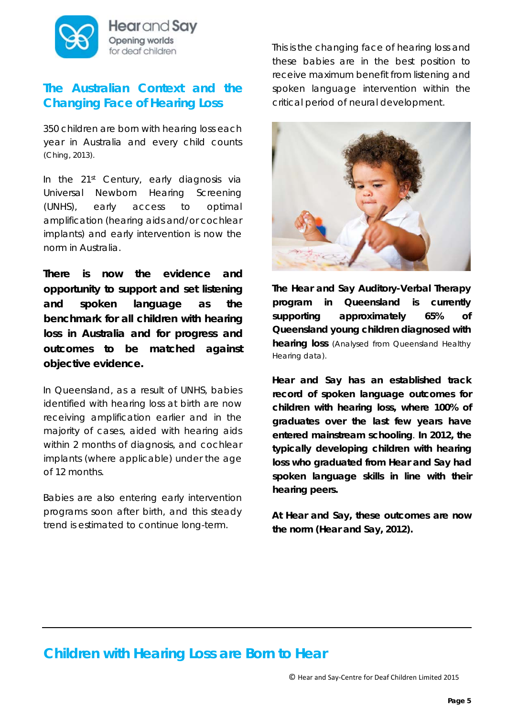

Hear and Say Opening worlds for deaf children

#### *The Australian Context and the Changing Face of Hearing Loss*

350 children are born with hearing loss each year in Australia and every child counts (Ching, 2013).

In the 21<sup>st</sup> Century, early diagnosis via Universal Newborn Hearing Screening (UNHS), early access to optimal amplification (hearing aids and/or cochlear implants) and early intervention is now the norm in Australia.

*There is now the evidence and opportunity to support and set listening and spoken language as the benchmark for all children with hearing loss in Australia and for progress and outcomes to be matched against objective evidence.* 

In Queensland, as a result of UNHS, babies identified with hearing loss at birth are now receiving amplification earlier and in the majority of cases, aided with hearing aids within 2 months of diagnosis, and cochlear implants (where applicable) under the age of 12 months.

Babies are also entering early intervention programs soon after birth, and this steady trend is estimated to continue long-term.

This is the changing face of hearing loss and these babies are in the best position to receive maximum benefit from listening and spoken language intervention within the critical period of neural development.



**The Hear and Say Auditory-Verbal Therapy program in Queensland is currently supporting approximately 65% of Queensland young children diagnosed with hearing loss** (Analysed from Queensland Healthy Hearing data).

*Hear and Say has an established track record of spoken language outcomes for children with hearing loss, where 100% of graduates over the last few years have entered mainstream schooling. In 2012, the typically developing children with hearing loss who graduated from Hear and Say had spoken language skills in line with their hearing peers.*

*At Hear and Say, these outcomes are now the norm (Hear and Say, 2012).*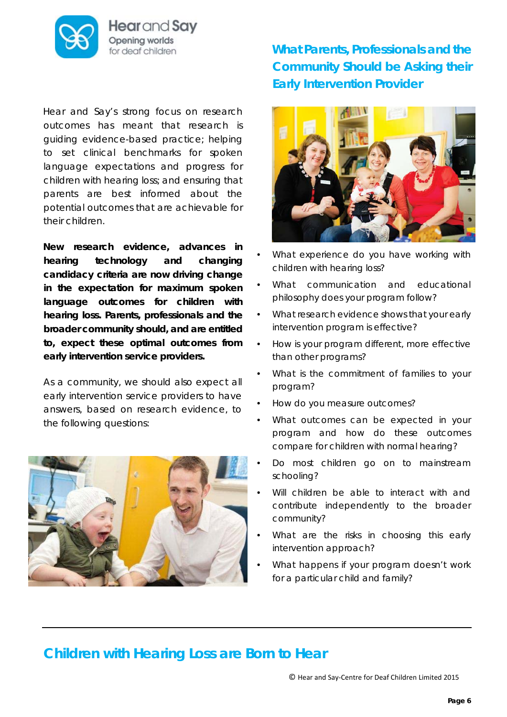

Hear and Say Opening worlds for deaf children

Hear and Say's strong focus on research outcomes has meant that research is guiding evidence-based practice; helping to set clinical benchmarks for spoken language expectations and progress for children with hearing loss; and ensuring that parents are best informed about the potential outcomes that are achievable for their children.

**New research evidence, advances in hearing technology and changing candidacy criteria are now driving change in the expectation for maximum spoken language outcomes for children with hearing loss. Parents, professionals and the broader community should, and are entitled to, expect these optimal outcomes from early intervention service providers.**

As a community, we should also expect all early intervention service providers to have answers, based on research evidence, to the following questions:



*What Parents, Professionals and the Community Should be Asking their Early Intervention Provider* 



- What experience do you have working with children with hearing loss?
- What communication and educational philosophy does your program follow?
- What research evidence shows that your early intervention program is effective?
- How is your program different, more effective than other programs?
- What is the commitment of families to your program?
- How do you measure outcomes?
- What outcomes can be expected in your program and how do these outcomes compare for children with normal hearing?
- Do most children go on to mainstream schooling?
- Will children be able to interact with and contribute independently to the broader community?
- What are the risks in choosing this early intervention approach?
- What happens if your program doesn't work for a particular child and family?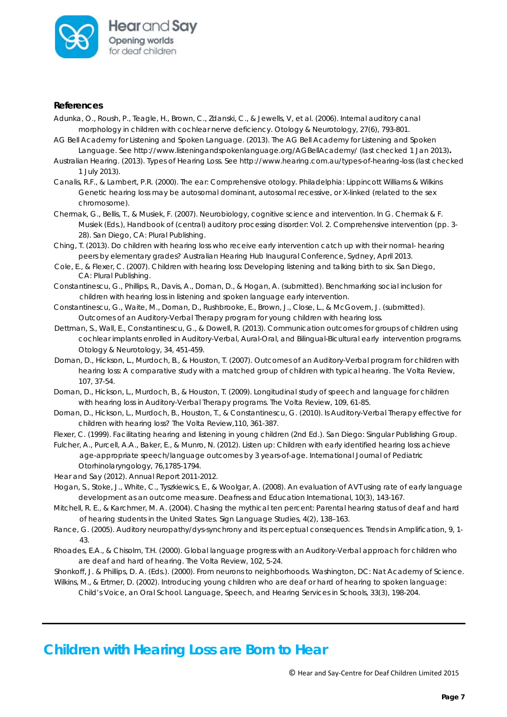

#### *References*

- Adunka, O., Roush, P., Teagle, H., Brown, C., Zdanski, C., & Jewells, V, et al. (2006). Internal auditory canal morphology in children with cochlear nerve deficiency. *Otology & Neurotology, 27*(6), 793-801.
- AG Bell Academy for Listening and Spoken Language. (2013). The AG Bell Academy for Listening and Spoken Language. See http://www.listeningandspokenlanguage.org/AGBellAcademy/ (last checked 1 Jan 2013)**.**
- Australian Hearing. (2013). Types of Hearing Loss. See http://www.hearing.com.au/types-of-hearing-loss (last checked 1 July 2013).
- Canalis, R.F., & Lambert, P.R. (2000). *The ear: Comprehensive otology.* Philadelphia: Lippincott Williams & Wilkins Genetic hearing loss may be autosomal dominant, autosomal recessive, or X-linked (related to the sex chromosome).
- Chermak, G., Bellis, T., & Musiek, F. (2007). Neurobiology, cognitive science and intervention. In G. Chermak & F. Musiek (Eds.), *Handbook of (central) auditory processing disorder: Vol. 2. Comprehensive intervention* (pp. 3- 28). San Diego, CA: Plural Publishing.
- Ching, T. (2013). Do children with hearing loss who receive early intervention catch up with their normal- hearing peers by elementary grades? *Australian Hearing Hub Inaugural Conference*, Sydney, April 2013.
- Cole, E., & Flexer, C. (2007). *Children with hearing loss: Developing listening and talking birth to six*. San Diego, CA: Plural Publishing.
- Constantinescu, G., Phillips, R., Davis, A., Dornan, D., & Hogan, A. (submitted). Benchmarking social inclusion for children with hearing loss in listening and spoken language early intervention.
- Constantinescu, G., Waite, M., Dornan, D., Rushbrooke, E., Brown, J., Close, L., & McGovern, J. (submitted). Outcomes of an Auditory-Verbal Therapy program for young children with hearing loss.
- Dettman, S., Wall, E., Constantinescu, G., & Dowell, R. (2013). Communication outcomes for groups of children using cochlear implants enrolled in Auditory-Verbal, Aural-Oral, and Bilingual-Bicultural early intervention programs. *Otology & Neurotology, 34*, 451-459*.*
- Dornan, D., Hickson, L., Murdoch, B., & Houston, T. (2007). Outcomes of an Auditory-Verbal program for children with hearing loss: A comparative study with a matched group of children with typical hearing. *The Volta Review, 107*, 37-54.
- Dornan, D., Hickson, L., Murdoch, B., & Houston, T. (2009). Longitudinal study of speech and language for children with hearing loss in Auditory-Verbal Therapy programs. *The Volta Review, 109*, 61-85.
- Dornan, D., Hickson, L., Murdoch, B., Houston, T., & Constantinescu, G. (2010). Is Auditory-Verbal Therapy effective for children with hearing loss? *The Volta Review,110*, 361-387.
- Flexer, C. (1999). *Facilitating hearing and listening in young children (2nd Ed.*). San Diego: Singular Publishing Group.
- Fulcher, A., Purcell, A.A., Baker, E., & Munro, N. (2012). Listen up: Children with early identified hearing loss achieve age-appropriate speech/language outcomes by 3 years-of-age. *International Journal of Pediatric Otorhinolaryngology, 76,*1785-1794.
- Hear and Say (2012). Annual Report 2011-2012.
- Hogan, S., Stoke, J., White, C., Tyszkiewics, E., & Woolgar, A. (2008). An evaluation of AVT using rate of early language development as an outcome measure. *Deafness and Education International*, *10*(3), 143-167.
- Mitchell, R. E., & Karchmer, M. A. (2004). Chasing the mythical ten percent: Parental hearing status of deaf and hard of hearing students in the United States. *Sign Language Studies, 4*(2), 138–163.
- Rance, G. (2005). Auditory neuropathy/dys-synchrony and its perceptual consequences. *Trends in Amplification, 9*, 1- 43.
- Rhoades, E.A., & Chisolm, T.H. (2000). Global language progress with an Auditory-Verbal approach for children who are deaf and hard of hearing. *The Volta Review, 102*, 5-24.
- Shonkoff, J. & Phillips, D. A. (Eds.). (2000). *From neurons to neighborhoods*. Washington, DC: Nat Academy of Science.

Wilkins, M., & Ertmer, D. (2002). Introducing young children who are deaf or hard of hearing to spoken language: Child's Voice, an Oral School. *Language, Speech, and Hearing Services in Schools, 33*(3), 198-204.